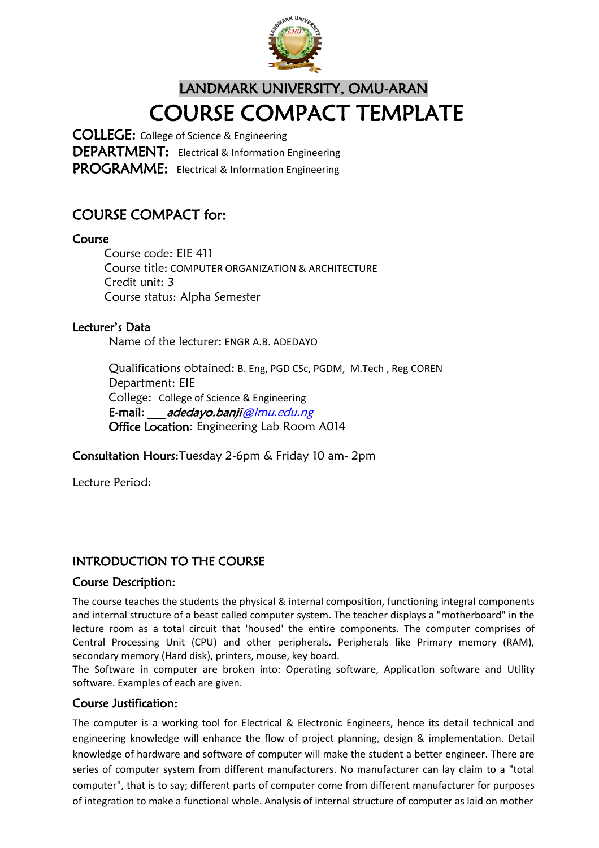

## LANDMARK UNIVERSITY, OMU-ARAN COURSE COMPACT TEMPLATE

COLLEGE: College of Science & Engineering DEPARTMENT: Electrical & Information Engineering PROGRAMME: Electrical & Information Engineering

## COURSE COMPACT for:

#### Course

Course code: EIE 411 Course title: COMPUTER ORGANIZATION & ARCHITECTURE Credit unit: 3 Course status: Alpha Semester

#### Lecturer's Data

Name of the lecturer: ENGR A.B. ADEDAYO

Qualifications obtained: B. Eng, PGD CSc, PGDM, M.Tech , Reg COREN Department: EIE College: College of Science & Engineering E-mail: adedayo.banji@lmu.edu.ng Office Location: Engineering Lab Room A014

Consultation Hours:Tuesday 2-6pm & Friday 10 am- 2pm

Lecture Period:

## INTRODUCTION TO THE COURSE

#### Course Description:

The course teaches the students the physical & internal composition, functioning integral components and internal structure of a beast called computer system. The teacher displays a "motherboard" in the lecture room as a total circuit that 'housed' the entire components. The computer comprises of Central Processing Unit (CPU) and other peripherals. Peripherals like Primary memory (RAM), secondary memory (Hard disk), printers, mouse, key board.

The Software in computer are broken into: Operating software, Application software and Utility software. Examples of each are given.

#### Course Justification:

The computer is a working tool for Electrical & Electronic Engineers, hence its detail technical and engineering knowledge will enhance the flow of project planning, design & implementation. Detail knowledge of hardware and software of computer will make the student a better engineer. There are series of computer system from different manufacturers. No manufacturer can lay claim to a "total computer", that is to say; different parts of computer come from different manufacturer for purposes of integration to make a functional whole. Analysis of internal structure of computer as laid on mother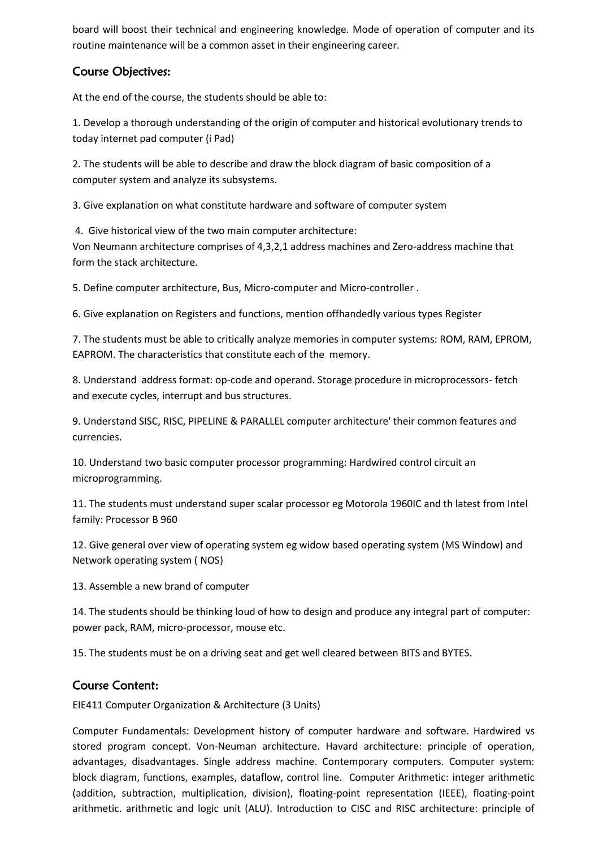board will boost their technical and engineering knowledge. Mode of operation of computer and its routine maintenance will be a common asset in their engineering career.

#### Course Objectives:

At the end of the course, the students should be able to:

1. Develop a thorough understanding of the origin of computer and historical evolutionary trends to today internet pad computer (i Pad)

2. The students will be able to describe and draw the block diagram of basic composition of a computer system and analyze its subsystems.

3. Give explanation on what constitute hardware and software of computer system

4. Give historical view of the two main computer architecture: Von Neumann architecture comprises of 4,3,2,1 address machines and Zero-address machine that form the stack architecture.

5. Define computer architecture, Bus, Micro-computer and Micro-controller .

6. Give explanation on Registers and functions, mention offhandedly various types Register

7. The students must be able to critically analyze memories in computer systems: ROM, RAM, EPROM, EAPROM. The characteristics that constitute each of the memory.

8. Understand address format: op-code and operand. Storage procedure in microprocessors- fetch and execute cycles, interrupt and bus structures.

9. Understand SISC, RISC, PIPELINE & PARALLEL computer architecture' their common features and currencies.

10. Understand two basic computer processor programming: Hardwired control circuit an microprogramming.

11. The students must understand super scalar processor eg Motorola 1960IC and th latest from Intel family: Processor B 960

12. Give general over view of operating system eg widow based operating system (MS Window) and Network operating system ( NOS)

13. Assemble a new brand of computer

14. The students should be thinking loud of how to design and produce any integral part of computer: power pack, RAM, micro-processor, mouse etc.

15. The students must be on a driving seat and get well cleared between BITS and BYTES.

#### Course Content:

EIE411 Computer Organization & Architecture (3 Units)

Computer Fundamentals: Development history of computer hardware and software. Hardwired vs stored program concept. Von-Neuman architecture. Havard architecture: principle of operation, advantages, disadvantages. Single address machine. Contemporary computers. Computer system: block diagram, functions, examples, dataflow, control line. Computer Arithmetic: integer arithmetic (addition, subtraction, multiplication, division), floating-point representation (IEEE), floating-point arithmetic. arithmetic and logic unit (ALU). Introduction to CISC and RISC architecture: principle of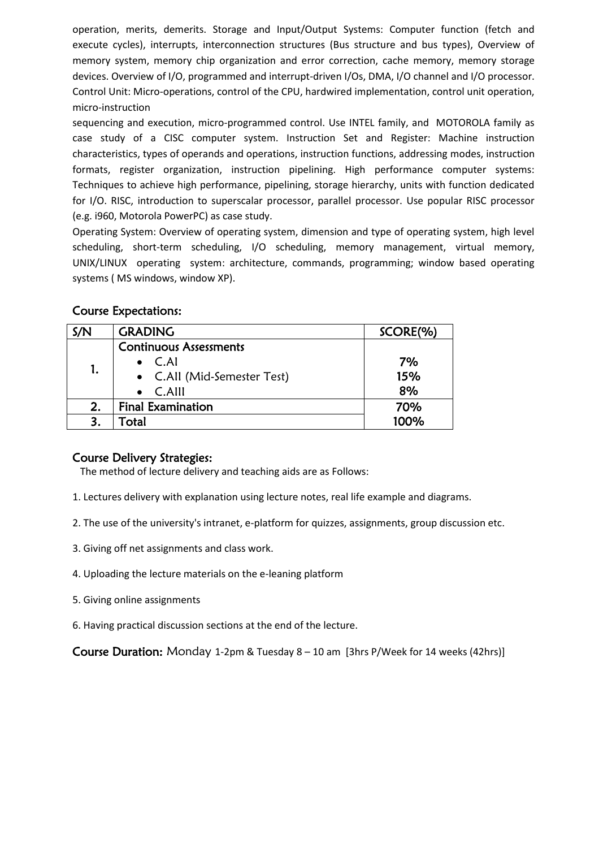operation, merits, demerits. Storage and Input/Output Systems: Computer function (fetch and execute cycles), interrupts, interconnection structures (Bus structure and bus types), Overview of memory system, memory chip organization and error correction, cache memory, memory storage devices. Overview of I/O, programmed and interrupt-driven I/Os, DMA, I/O channel and I/O processor. Control Unit: Micro-operations, control of the CPU, hardwired implementation, control unit operation, micro-instruction

sequencing and execution, micro-programmed control. Use INTEL family, and MOTOROLA family as case study of a CISC computer system. Instruction Set and Register: Machine instruction characteristics, types of operands and operations, instruction functions, addressing modes, instruction formats, register organization, instruction pipelining. High performance computer systems: Techniques to achieve high performance, pipelining, storage hierarchy, units with function dedicated for I/O. RISC, introduction to superscalar processor, parallel processor. Use popular RISC processor (e.g. i960, Motorola PowerPC) as case study.

Operating System: Overview of operating system, dimension and type of operating system, high level scheduling, short-term scheduling, I/O scheduling, memory management, virtual memory, UNIX/LINUX operating system: architecture, commands, programming; window based operating systems ( MS windows, window XP).

| S/N | <b>GRADING</b>                | SCORE(%) |
|-----|-------------------------------|----------|
| 1.  | <b>Continuous Assessments</b> |          |
|     | $\bullet$ C.AI                | 7%       |
|     | • C.All (Mid-Semester Test)   | 15%      |
|     | $\bullet$ C.Alll              | 8%       |
| 2.  | <b>Final Examination</b>      | 70%      |
|     | Total                         | 100%     |

#### Course Expectations:

#### Course Delivery Strategies:

The method of lecture delivery and teaching aids are as Follows:

- 1. Lectures delivery with explanation using lecture notes, real life example and diagrams.
- 2. The use of the university's intranet, e-platform for quizzes, assignments, group discussion etc.
- 3. Giving off net assignments and class work.
- 4. Uploading the lecture materials on the e-leaning platform
- 5. Giving online assignments
- 6. Having practical discussion sections at the end of the lecture.

Course Duration: Monday 1-2pm & Tuesday 8 – 10 am [3hrs P/Week for 14 weeks (42hrs)]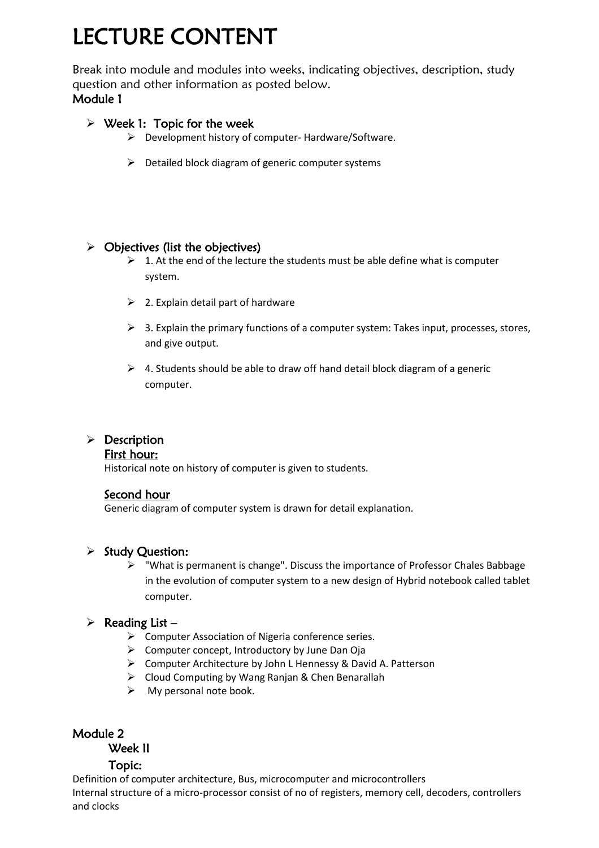# LECTURE CONTENT

Break into module and modules into weeks, indicating objectives, description, study question and other information as posted below. Module 1

#### $\triangleright$  Week 1: Topic for the week

- $\triangleright$  Development history of computer-Hardware/Software.
- $\triangleright$  Detailed block diagram of generic computer systems

#### $\triangleright$  Objectives (list the objectives)

- $\geq 1$ . At the end of the lecture the students must be able define what is computer system.
- $\geq$  2. Explain detail part of hardware
- $\triangleright$  3. Explain the primary functions of a computer system: Takes input, processes, stores, and give output.
- $\triangleright$  4. Students should be able to draw off hand detail block diagram of a generic computer.

## $\triangleright$  Description

#### First hour:

Historical note on history of computer is given to students.

#### Second hour

Generic diagram of computer system is drawn for detail explanation.

#### $\triangleright$  Study Question:

 $\triangleright$  "What is permanent is change". Discuss the importance of Professor Chales Babbage in the evolution of computer system to a new design of Hybrid notebook called tablet computer.

#### $\triangleright$  Reading List –

- $\triangleright$  Computer Association of Nigeria conference series.
- $\triangleright$  Computer concept, Introductory by June Dan Oja
- $\triangleright$  Computer Architecture by John L Hennessy & David A. Patterson
- Cloud Computing by Wang Ranjan & Chen Benarallah
- $\triangleright$  My personal note book.

#### Module 2

## Week II

#### Topic:

Definition of computer architecture, Bus, microcomputer and microcontrollers Internal structure of a micro-processor consist of no of registers, memory cell, decoders, controllers and clocks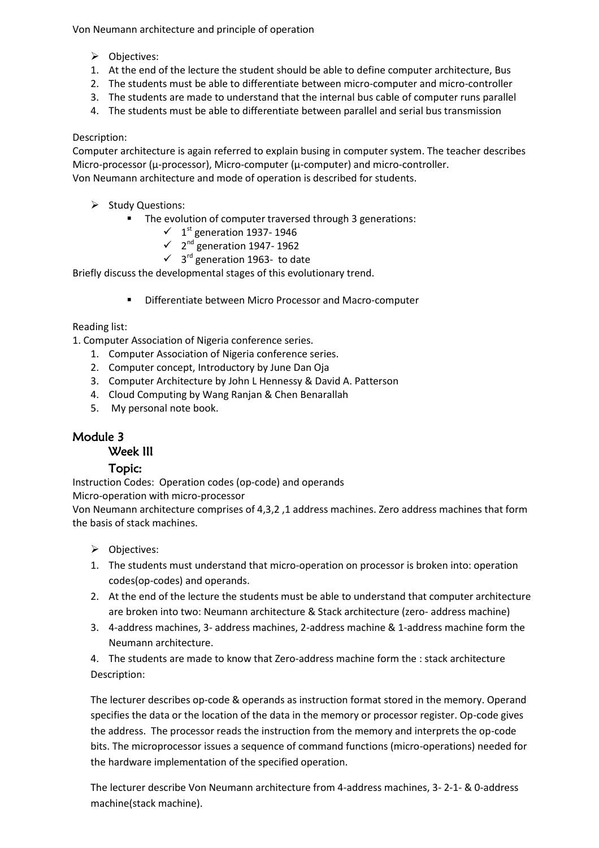Von Neumann architecture and principle of operation

- Objectives:
- 1. At the end of the lecture the student should be able to define computer architecture, Bus
- 2. The students must be able to differentiate between micro-computer and micro-controller
- 3. The students are made to understand that the internal bus cable of computer runs parallel
- 4. The students must be able to differentiate between parallel and serial bus transmission

#### Description:

Computer architecture is again referred to explain busing in computer system. The teacher describes Micro-processor (µ-processor), Micro-computer (µ-computer) and micro-controller. Von Neumann architecture and mode of operation is described for students.

- $\triangleright$  Study Questions:
	- **The evolution of computer traversed through 3 generations:** 
		- $\checkmark$  1<sup>st</sup> generation 1937-1946
		- $\checkmark$  2<sup>nd</sup> generation 1947-1962
		- $\checkmark$  3<sup>rd</sup> generation 1963- to date

Briefly discuss the developmental stages of this evolutionary trend.

Differentiate between Micro Processor and Macro-computer

#### Reading list:

1. Computer Association of Nigeria conference series.

- 1. Computer Association of Nigeria conference series.
- 2. Computer concept, Introductory by June Dan Oja
- 3. Computer Architecture by John L Hennessy & David A. Patterson
- 4. Cloud Computing by Wang Ranjan & Chen Benarallah
- 5. My personal note book.

#### Module 3

#### Week III

#### Topic:

Instruction Codes: Operation codes (op-code) and operands

Micro-operation with micro-processor

Von Neumann architecture comprises of 4,3,2 ,1 address machines. Zero address machines that form the basis of stack machines.

- > Objectives:
- 1. The students must understand that micro-operation on processor is broken into: operation codes(op-codes) and operands.
- 2. At the end of the lecture the students must be able to understand that computer architecture are broken into two: Neumann architecture & Stack architecture (zero- address machine)
- 3. 4-address machines, 3- address machines, 2-address machine & 1-address machine form the Neumann architecture.

4. The students are made to know that Zero-address machine form the : stack architecture Description:

The lecturer describes op-code & operands as instruction format stored in the memory. Operand specifies the data or the location of the data in the memory or processor register. Op-code gives the address. The processor reads the instruction from the memory and interprets the op-code bits. The microprocessor issues a sequence of command functions (micro-operations) needed for the hardware implementation of the specified operation.

The lecturer describe Von Neumann architecture from 4-address machines, 3- 2-1- & 0-address machine(stack machine).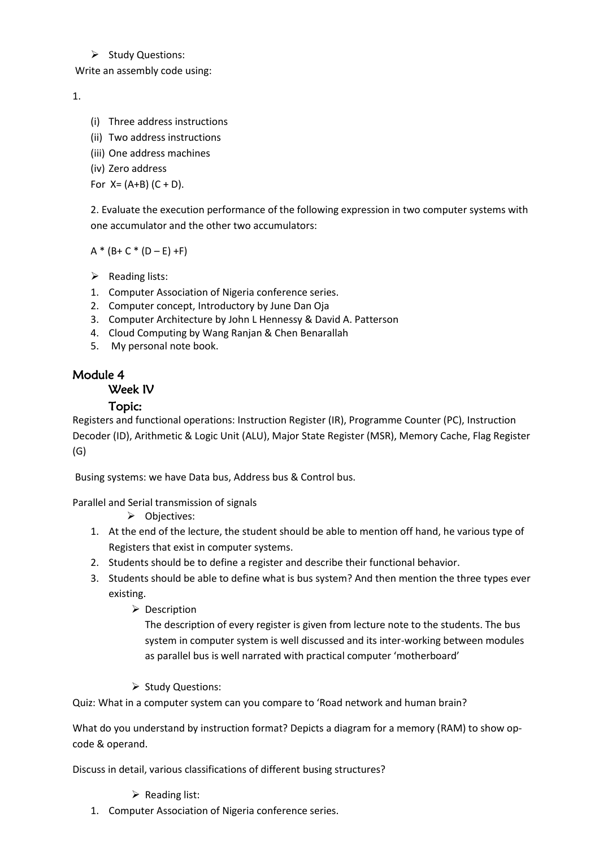#### $\triangleright$  Study Questions:

Write an assembly code using:

#### 1.

- (i) Three address instructions
- (ii) Two address instructions
- (iii) One address machines
- (iv) Zero address

For  $X = (A+B) (C + D)$ .

2. Evaluate the execution performance of the following expression in two computer systems with one accumulator and the other two accumulators:

 $A * (B + C * (D - E) + F)$ 

- $\triangleright$  Reading lists:
- 1. Computer Association of Nigeria conference series.
- 2. Computer concept, Introductory by June Dan Oja
- 3. Computer Architecture by John L Hennessy & David A. Patterson
- 4. Cloud Computing by Wang Ranjan & Chen Benarallah
- 5. My personal note book.

#### Module 4

#### Week IV

#### Topic:

Registers and functional operations: Instruction Register (IR), Programme Counter (PC), Instruction Decoder (ID), Arithmetic & Logic Unit (ALU), Major State Register (MSR), Memory Cache, Flag Register (G)

Busing systems: we have Data bus, Address bus & Control bus.

Parallel and Serial transmission of signals

- > Objectives:
- 1. At the end of the lecture, the student should be able to mention off hand, he various type of Registers that exist in computer systems.
- 2. Students should be to define a register and describe their functional behavior.
- 3. Students should be able to define what is bus system? And then mention the three types ever existing.
	- $\triangleright$  Description

The description of every register is given from lecture note to the students. The bus system in computer system is well discussed and its inter-working between modules as parallel bus is well narrated with practical computer 'motherboard'

 $\triangleright$  Study Questions:

Quiz: What in a computer system can you compare to 'Road network and human brain?

What do you understand by instruction format? Depicts a diagram for a memory (RAM) to show opcode & operand.

Discuss in detail, various classifications of different busing structures?

 $\triangleright$  Reading list:

1. Computer Association of Nigeria conference series.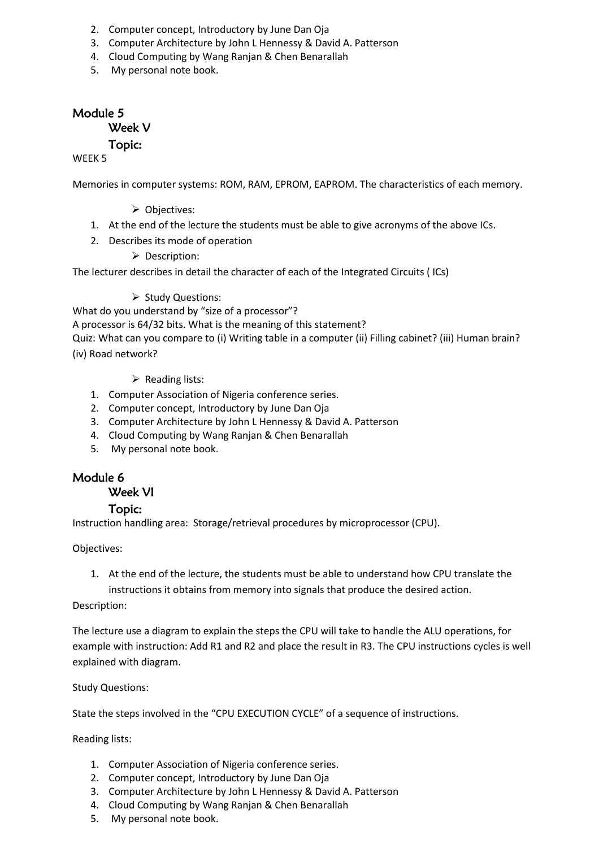- 2. Computer concept, Introductory by June Dan Oja
- 3. Computer Architecture by John L Hennessy & David A. Patterson
- 4. Cloud Computing by Wang Ranjan & Chen Benarallah
- 5. My personal note book.

#### Module 5 Week V

Topic:

#### WEEK 5

Memories in computer systems: ROM, RAM, EPROM, EAPROM. The characteristics of each memory.

- **▶ Objectives:**
- 1. At the end of the lecture the students must be able to give acronyms of the above ICs.
- 2. Describes its mode of operation
	- $\triangleright$  Description:

The lecturer describes in detail the character of each of the Integrated Circuits ( ICs)

 $\triangleright$  Study Questions:

What do you understand by "size of a processor"?

A processor is 64/32 bits. What is the meaning of this statement? Quiz: What can you compare to (i) Writing table in a computer (ii) Filling cabinet? (iii) Human brain?

(iv) Road network?

- $\triangleright$  Reading lists:
- 1. Computer Association of Nigeria conference series.
- 2. Computer concept, Introductory by June Dan Oja
- 3. Computer Architecture by John L Hennessy & David A. Patterson
- 4. Cloud Computing by Wang Ranjan & Chen Benarallah
- 5. My personal note book.

#### Module 6

Week VI

#### Topic:

Instruction handling area: Storage/retrieval procedures by microprocessor (CPU).

Objectives:

1. At the end of the lecture, the students must be able to understand how CPU translate the instructions it obtains from memory into signals that produce the desired action.

Description:

The lecture use a diagram to explain the steps the CPU will take to handle the ALU operations, for example with instruction: Add R1 and R2 and place the result in R3. The CPU instructions cycles is well explained with diagram.

Study Questions:

State the steps involved in the "CPU EXECUTION CYCLE" of a sequence of instructions.

Reading lists:

- 1. Computer Association of Nigeria conference series.
- 2. Computer concept, Introductory by June Dan Oja
- 3. Computer Architecture by John L Hennessy & David A. Patterson
- 4. Cloud Computing by Wang Ranjan & Chen Benarallah
- 5. My personal note book.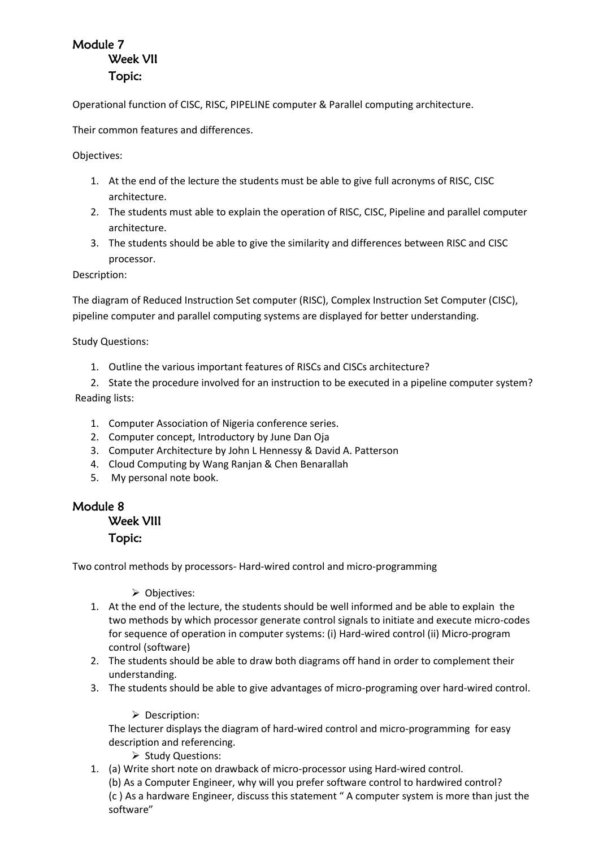## Module 7 Week VII Topic:

Operational function of CISC, RISC, PIPELINE computer & Parallel computing architecture.

Their common features and differences.

Objectives:

- 1. At the end of the lecture the students must be able to give full acronyms of RISC, CISC architecture.
- 2. The students must able to explain the operation of RISC, CISC, Pipeline and parallel computer architecture.
- 3. The students should be able to give the similarity and differences between RISC and CISC processor.

Description:

The diagram of Reduced Instruction Set computer (RISC), Complex Instruction Set Computer (CISC), pipeline computer and parallel computing systems are displayed for better understanding.

Study Questions:

- 1. Outline the various important features of RISCs and CISCs architecture?
- 2. State the procedure involved for an instruction to be executed in a pipeline computer system? Reading lists:
	- 1. Computer Association of Nigeria conference series.
	- 2. Computer concept, Introductory by June Dan Oja
	- 3. Computer Architecture by John L Hennessy & David A. Patterson
	- 4. Cloud Computing by Wang Ranjan & Chen Benarallah
	- 5. My personal note book.

## Module 8

#### Week VIII

#### Topic:

Two control methods by processors- Hard-wired control and micro-programming

**▶ Objectives:** 

- 1. At the end of the lecture, the students should be well informed and be able to explain the two methods by which processor generate control signals to initiate and execute micro-codes for sequence of operation in computer systems: (i) Hard-wired control (ii) Micro-program control (software)
- 2. The students should be able to draw both diagrams off hand in order to complement their understanding.
- 3. The students should be able to give advantages of micro-programing over hard-wired control.

**Description:** 

The lecturer displays the diagram of hard-wired control and micro-programming for easy description and referencing.

- $\triangleright$  Study Questions:
- 1. (a) Write short note on drawback of micro-processor using Hard-wired control. (b) As a Computer Engineer, why will you prefer software control to hardwired control? (c ) As a hardware Engineer, discuss this statement " A computer system is more than just the software"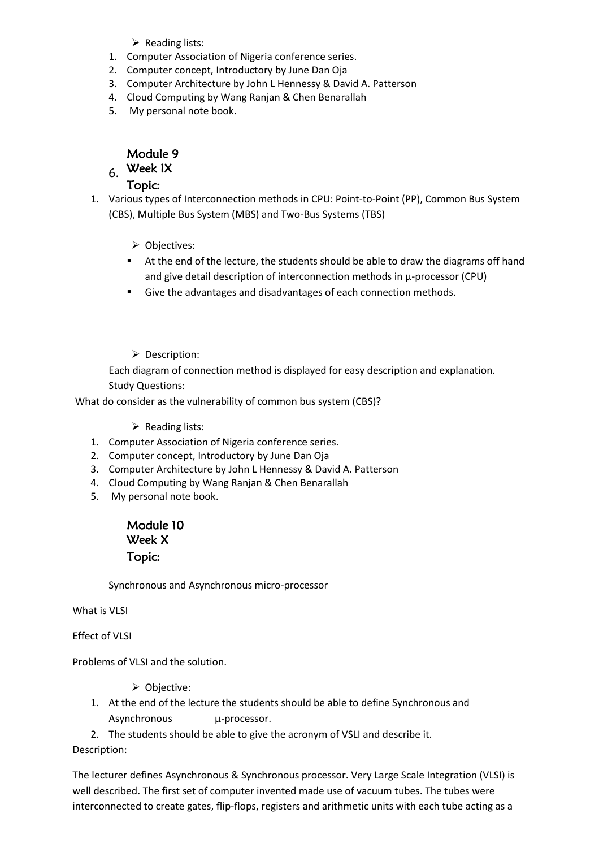- $\triangleright$  Reading lists:
- 1. Computer Association of Nigeria conference series.
- 2. Computer concept, Introductory by June Dan Oja
- 3. Computer Architecture by John L Hennessy & David A. Patterson
- 4. Cloud Computing by Wang Ranjan & Chen Benarallah
- 5. My personal note book.

#### Module 9

## $6.$  Week IX

#### Topic:

- 1. Various types of Interconnection methods in CPU: Point-to-Point (PP), Common Bus System (CBS), Multiple Bus System (MBS) and Two-Bus Systems (TBS)
	- ▶ Objectives:
	- At the end of the lecture, the students should be able to draw the diagrams off hand and give detail description of interconnection methods in µ-processor (CPU)
	- Give the advantages and disadvantages of each connection methods.
	- **Description:**

Each diagram of connection method is displayed for easy description and explanation. Study Questions:

What do consider as the vulnerability of common bus system (CBS)?

 $\triangleright$  Reading lists:

- 1. Computer Association of Nigeria conference series.
- 2. Computer concept, Introductory by June Dan Oja
- 3. Computer Architecture by John L Hennessy & David A. Patterson
- 4. Cloud Computing by Wang Ranjan & Chen Benarallah
- 5. My personal note book.

#### Module 10 Week X Topic:

Synchronous and Asynchronous micro-processor

What is VLSI

Effect of VLSI

Problems of VLSI and the solution.

- Objective:
- 1. At the end of the lecture the students should be able to define Synchronous and Asynchronous u-processor.
- 2. The students should be able to give the acronym of VSLI and describe it.

Description:

The lecturer defines Asynchronous & Synchronous processor. Very Large Scale Integration (VLSI) is well described. The first set of computer invented made use of vacuum tubes. The tubes were interconnected to create gates, flip-flops, registers and arithmetic units with each tube acting as a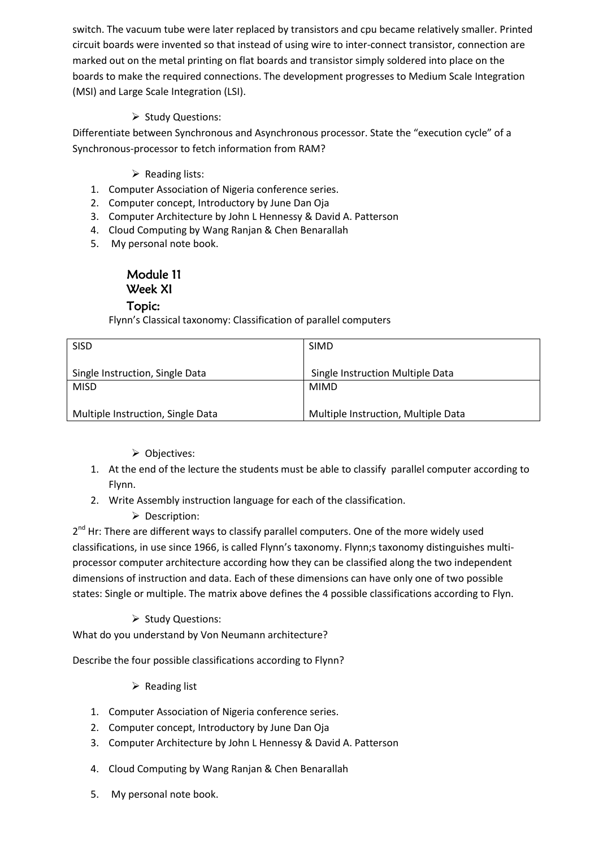switch. The vacuum tube were later replaced by transistors and cpu became relatively smaller. Printed circuit boards were invented so that instead of using wire to inter-connect transistor, connection are marked out on the metal printing on flat boards and transistor simply soldered into place on the boards to make the required connections. The development progresses to Medium Scale Integration (MSI) and Large Scale Integration (LSI).

#### $\triangleright$  Study Questions:

Differentiate between Synchronous and Asynchronous processor. State the "execution cycle" of a Synchronous-processor to fetch information from RAM?

#### $\triangleright$  Reading lists:

- 1. Computer Association of Nigeria conference series.
- 2. Computer concept, Introductory by June Dan Oja
- 3. Computer Architecture by John L Hennessy & David A. Patterson
- 4. Cloud Computing by Wang Ranjan & Chen Benarallah
- 5. My personal note book.

## Module 11 Week XI

#### Topic:

Flynn's Classical taxonomy: Classification of parallel computers

| <b>SISD</b>                       | <b>SIMD</b>                         |  |
|-----------------------------------|-------------------------------------|--|
| Single Instruction, Single Data   | Single Instruction Multiple Data    |  |
| <b>MISD</b>                       | <b>MIMD</b>                         |  |
| Multiple Instruction, Single Data | Multiple Instruction, Multiple Data |  |

- $\triangleright$  Objectives:
- 1. At the end of the lecture the students must be able to classify parallel computer according to Flynn.
- 2. Write Assembly instruction language for each of the classification.
	- **Description:**

2<sup>nd</sup> Hr: There are different ways to classify parallel computers. One of the more widely used classifications, in use since 1966, is called Flynn's taxonomy. Flynn;s taxonomy distinguishes multiprocessor computer architecture according how they can be classified along the two independent dimensions of instruction and data. Each of these dimensions can have only one of two possible states: Single or multiple. The matrix above defines the 4 possible classifications according to Flyn.

 $\triangleright$  Study Questions:

What do you understand by Von Neumann architecture?

Describe the four possible classifications according to Flynn?

- $\triangleright$  Reading list
- 1. Computer Association of Nigeria conference series.
- 2. Computer concept, Introductory by June Dan Oja
- 3. Computer Architecture by John L Hennessy & David A. Patterson
- 4. Cloud Computing by Wang Ranjan & Chen Benarallah
- 5. My personal note book.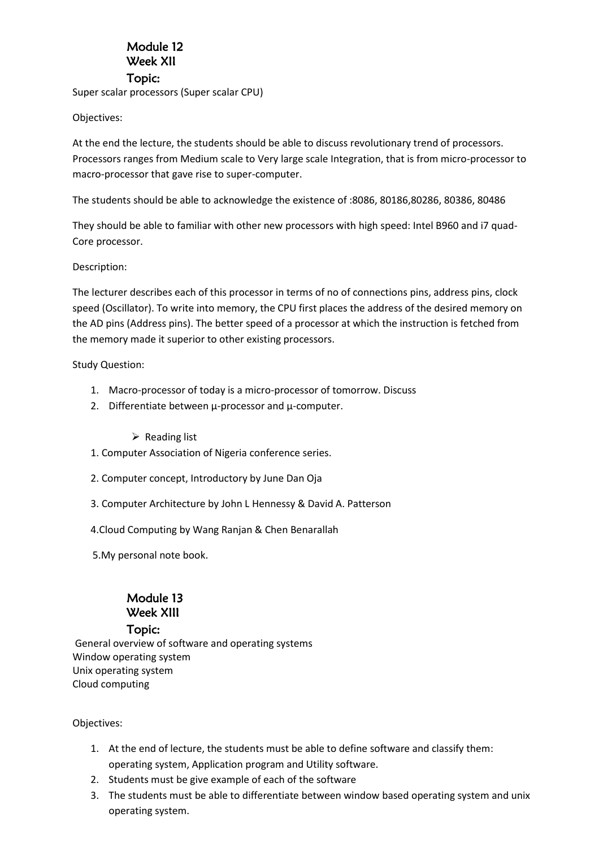#### Module 12 Week XII Topic:

Super scalar processors (Super scalar CPU)

Objectives:

At the end the lecture, the students should be able to discuss revolutionary trend of processors. Processors ranges from Medium scale to Very large scale Integration, that is from micro-processor to macro-processor that gave rise to super-computer.

The students should be able to acknowledge the existence of :8086, 80186,80286, 80386, 80486

They should be able to familiar with other new processors with high speed: Intel B960 and i7 quad-Core processor.

#### Description:

The lecturer describes each of this processor in terms of no of connections pins, address pins, clock speed (Oscillator). To write into memory, the CPU first places the address of the desired memory on the AD pins (Address pins). The better speed of a processor at which the instruction is fetched from the memory made it superior to other existing processors.

Study Question:

- 1. Macro-processor of today is a micro-processor of tomorrow. Discuss
- 2. Differentiate between  $\mu$ -processor and  $\mu$ -computer.

 $\triangleright$  Reading list

- 1. Computer Association of Nigeria conference series.
- 2. Computer concept, Introductory by June Dan Oja
- 3. Computer Architecture by John L Hennessy & David A. Patterson
- 4.Cloud Computing by Wang Ranjan & Chen Benarallah
- 5.My personal note book.

## Module 13 Week XIII

#### Topic:

General overview of software and operating systems Window operating system Unix operating system Cloud computing

Objectives:

- 1. At the end of lecture, the students must be able to define software and classify them: operating system, Application program and Utility software.
- 2. Students must be give example of each of the software
- 3. The students must be able to differentiate between window based operating system and unix operating system.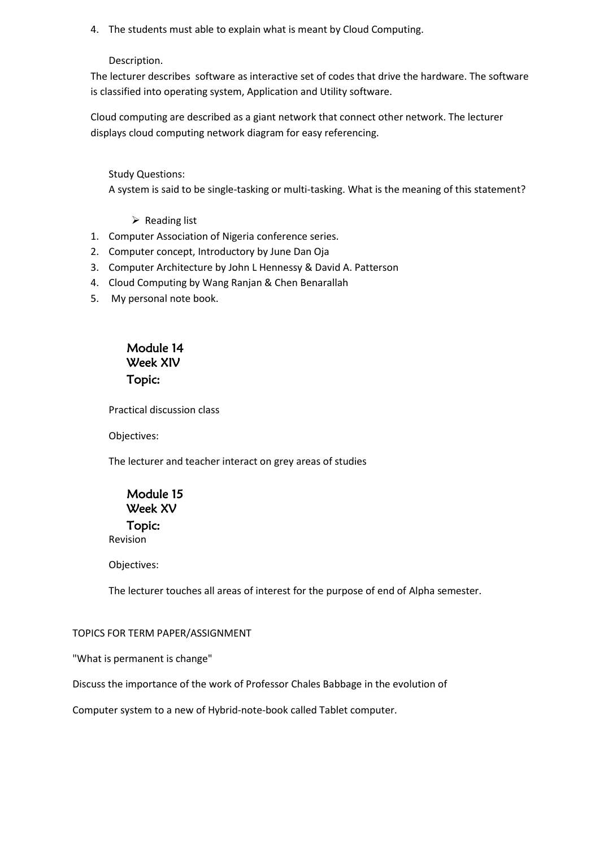4. The students must able to explain what is meant by Cloud Computing.

Description.

The lecturer describes software as interactive set of codes that drive the hardware. The software is classified into operating system, Application and Utility software.

Cloud computing are described as a giant network that connect other network. The lecturer displays cloud computing network diagram for easy referencing.

Study Questions:

A system is said to be single-tasking or multi-tasking. What is the meaning of this statement?

 $\triangleright$  Reading list

- 1. Computer Association of Nigeria conference series.
- 2. Computer concept, Introductory by June Dan Oja
- 3. Computer Architecture by John L Hennessy & David A. Patterson
- 4. Cloud Computing by Wang Ranjan & Chen Benarallah
- 5. My personal note book.

## Module 14 Week XIV Topic:

Practical discussion class

Objectives:

The lecturer and teacher interact on grey areas of studies

Module 15 Week XV Topic: Revision

Objectives:

The lecturer touches all areas of interest for the purpose of end of Alpha semester.

#### TOPICS FOR TERM PAPER/ASSIGNMENT

"What is permanent is change"

Discuss the importance of the work of Professor Chales Babbage in the evolution of

Computer system to a new of Hybrid-note-book called Tablet computer.